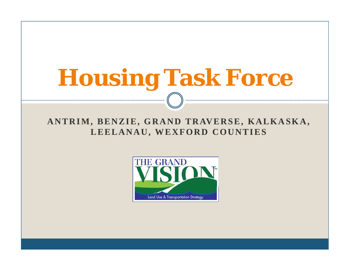# **Housing Task Force**

#### ANTRIM, BENZIE, GRAND TRAVERSE, KALKASKA, **LEELANAU, WEXFORD COUNTIES**

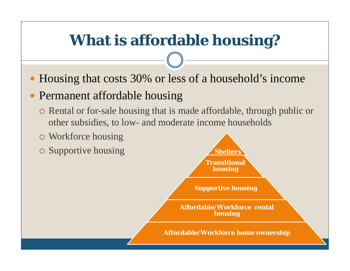# **What is affordable housing?**

• Housing that costs 30% or less of a household's income

#### • Permanent affordable housing

- Rental or for-sale housing that is made affordable, through public or other subsidies, to low- and moderate income households
- Workforce housing
- 

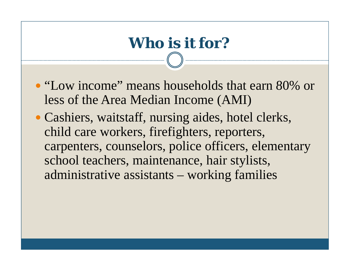# **Who is it for?**

- "Low income" means households that earn 80% or less of the Area Median Income (AMI)
- Cashiers, waitstaff, nursing aides, hotel clerks, child care workers, firefighters, reporters, carpenters, counselors, police officers, elementary school teachers, maintenance, hair stylists, administrative assistants – working families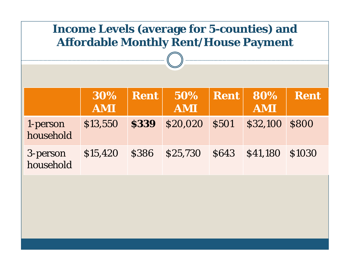| <b>Income Levels (average for 5-counties) and</b><br><b>Affordable Monthly Rent/House Payment</b> |                   |             |                   |             |                   |              |  |  |
|---------------------------------------------------------------------------------------------------|-------------------|-------------|-------------------|-------------|-------------------|--------------|--|--|
|                                                                                                   | 30%<br><b>AMI</b> | <b>Rent</b> | 50%<br><b>AMI</b> | <b>Rent</b> | 80%<br><b>AMI</b> | <b>Rent</b>  |  |  |
| 1-person<br>household                                                                             | \$13,550          | <b>S339</b> | \$20,020          | <b>S501</b> | \$32,100          | <b>S800</b>  |  |  |
| 3-person<br>household                                                                             | \$15,420          | <b>S386</b> | \$25,730          | <b>S643</b> | \$41,180          | <b>S1030</b> |  |  |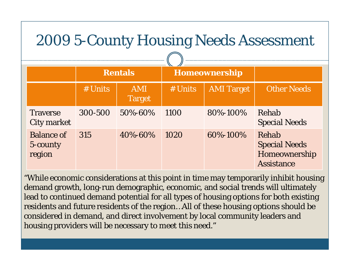# 2009 5-County Housing Needs Assessment

|                                         | <b>Rentals</b> |                             | Homeownership |                   |                                                                     |
|-----------------------------------------|----------------|-----------------------------|---------------|-------------------|---------------------------------------------------------------------|
|                                         | # Units        | <b>AMI</b><br><b>Target</b> | # Units       | <b>AMI Target</b> | <b>Other Needs</b>                                                  |
| <b>Traverse</b><br><b>City market</b>   | 300-500        | 50%-60%                     | 1100          | 80%-100%          | Rehab<br><b>Special Needs</b>                                       |
| <b>Balance of</b><br>5-county<br>region | 315            | 40%-60%                     | 1020          | 60%-100%          | Rehab<br><b>Special Needs</b><br>Homeownership<br><b>Assistance</b> |

"While economic considerations at this point in time may temporarily inhibit housing demand growth, long-run demographic, economic, and social trends will ultimately lead to continued demand potential for all types of housing options for both existing residents and future residents of the region…All of these housing options should be considered in demand, and direct involvement by local community leaders and housing providers will be necessary to meet this need."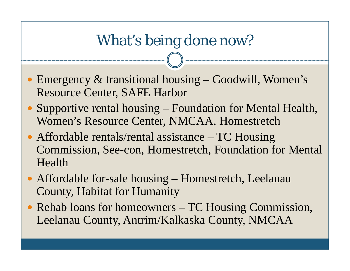## What's being done now?

- Emergency  $\&$  transitional housing Goodwill, Women's Resource Center, SAFE Harbor
- Supportive rental housing Foundation for Mental Health, Women's Resource Center, NMCAA, Homestretch
- Affordable rentals/rental assistance TC Housing Commission, See-con, Homestretch, Foundation for Mental Health
- Affordable for-sale housing Homestretch, Leelanau Count y, Habitat for Humanit y
- Rehab loans for homeowners TC Housing Commission, Leelanau County, Antrim/Kalkaska County, NMCAA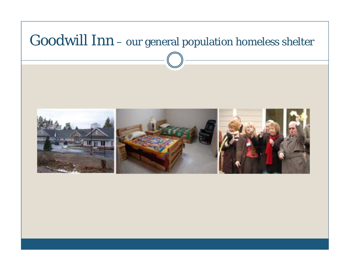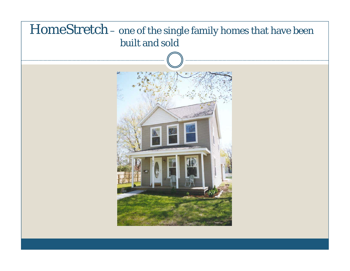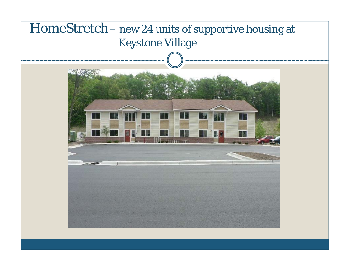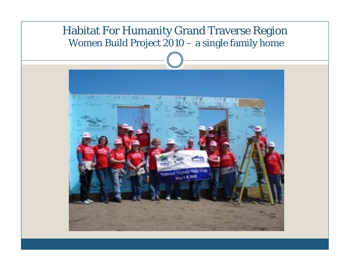#### Habitat For Humanity Grand Traverse Region Women Build Project 2010 – a single family home

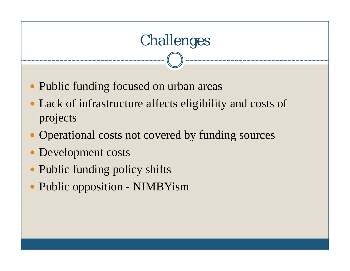# Challenges • Public funding focused on urban areas • Lack of infrastructure affects eligibility and costs of projects • Operational costs not covered by funding sources

- Development costs
- Public funding policy shifts
- Public opposition NIMBYism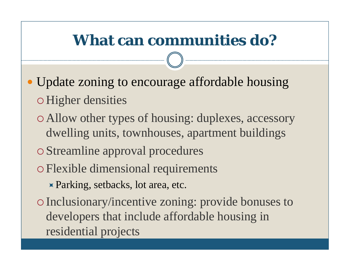# **What can communities do?**

- Update zoning to encourage affordable housing Higher densities
	- o Allow other types of housing: duplexes, accessory dwelling units, townhouses, apartment buildings
	- o Streamline approval procedures
	- Flexible dimensional requirements
		- $\blacktriangleright$  Parking, setbacks, lot area, etc.
	- Inclusionary/incentive zoning: provide bonuses to developers that include affordable housing in residential projects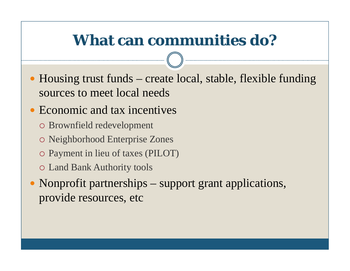### **What can communities do?**

• Housing trust funds – create local, stable, flexible funding sources to meet local needs

#### • Economic and tax incentives

- Brownfield redevelopment
- Neighborhood Enterprise Zones
- Payment in lieu of taxes (PILOT)
- Land Bank Authority tools
- Nonprofit partnerships suppor<sup>t</sup> gran<sup>t</sup> applications, provide resources, etc